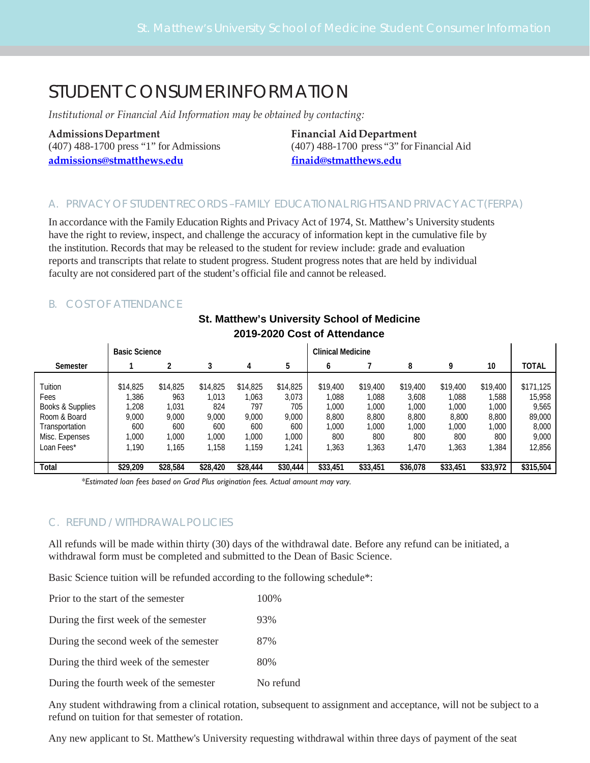# STUDENT CONSUMERINFORMATION

*Institutional or Financial Aid Information may be obtained by contacting:*

**[admissions@stmatthews.edu](mailto:admissions@stmatthews.edu) [finaid@stmatthews.edu](mailto:finaid@stmatthews.edu)**

**Admissions Department Financial Aid Department** (407) 488-1700 press "1" for Admissions (407) 488-1700 press "3" for Financial Aid

## A. PRIVACY OF STUDENT RECORDS –FAMILY EDUCATIONAL RIGHTS AND PRIVACY ACT (FERPA)

In accordance with the Family Education Rights and Privacy Act of 1974, St. Matthew's University students have the right to review, inspect, and challenge the accuracy of information kept in the cumulative file by the institution. Records that may be released to the student for review include: grade and evaluation reports and transcripts that relate to student progress. Student progress notes that are held by individual faculty are not considered part of the student's official file and cannot be released.

## B. COST OF ATTENDANCE

|                  | <b>Basic Science</b> |          |          |          | <b>Clinical Medicine</b> |          |          |          |          |          |              |
|------------------|----------------------|----------|----------|----------|--------------------------|----------|----------|----------|----------|----------|--------------|
| Semester         |                      |          |          | 4        | 5                        | 6        |          | 8        | q        | 10       | <b>TOTAL</b> |
|                  |                      |          |          |          |                          |          |          |          |          |          |              |
| Tuition          | \$14,825             | \$14,825 | \$14,825 | \$14,825 | \$14,825                 | \$19,400 | \$19,400 | \$19,400 | \$19,400 | \$19,400 | \$171.125    |
| Fees             | ,386                 | 963      | 1,013    | ,063     | 3,073                    | 1,088    | 1,088    | 3,608    | 1,088    | ,588     | 15,958       |
| Books & Supplies | ,208                 | 1,031    | 824      | 797      | 705                      | 1,000    | 1,000    | 1,000    | 1,000    | 1,000    | 9,565        |
| Room & Board     | 9.000                | 9,000    | 9,000    | 9.000    | 9,000                    | 8,800    | 8,800    | 8,800    | 8,800    | 8,800    | 89,000       |
| Transportation   | 600                  | 600      | 600      | 600      | 600                      | 1,000    | 1,000    | 1,000    | 1,000    | 1,000    | 8,000        |
| Misc. Expenses   | 1,000                | 1,000    | 1,000    | ,000     | 1,000                    | 800      | 800      | 800      | 800      | 800      | 9,000        |
| Loan Fees*       | .190                 | 1,165    | 1,158    | ,159     | 1,241                    | 363      | 1,363    | ,470     | ,363     | ,384     | 12,856       |
|                  |                      |          |          |          |                          |          |          |          |          |          |              |
| Total            | \$29,209             | \$28,584 | \$28,420 | \$28,444 | \$30,444                 | \$33,451 | \$33,451 | \$36,078 | \$33,451 | \$33,972 | \$315,504    |

## **St. Matthew's University School of Medicine 2019-2020 Cost of Attendance**

*\*Estimated loan fees based on Grad Plus origination fees. Actual amount may vary.*

## C. REFUND / WITHDRAWAL POLICIES

All refunds will be made within thirty (30) days of the withdrawal date. Before any refund can be initiated, a withdrawal form must be completed and submitted to the Dean of Basic Science.

Basic Science tuition will be refunded according to the following schedule\*:

| Prior to the start of the semester | 100\% |
|------------------------------------|-------|
|------------------------------------|-------|

| During the first week of the semester | 93% |
|---------------------------------------|-----|
|                                       |     |

During the second week of the semester 87%

During the third week of the semester 80%

During the fourth week of the semester No refund

Any student withdrawing from a clinical rotation, subsequent to assignment and acceptance, will not be subject to a refund on tuition for that semester of rotation.

Any new applicant to St. Matthew's University requesting withdrawal within three days of payment of the seat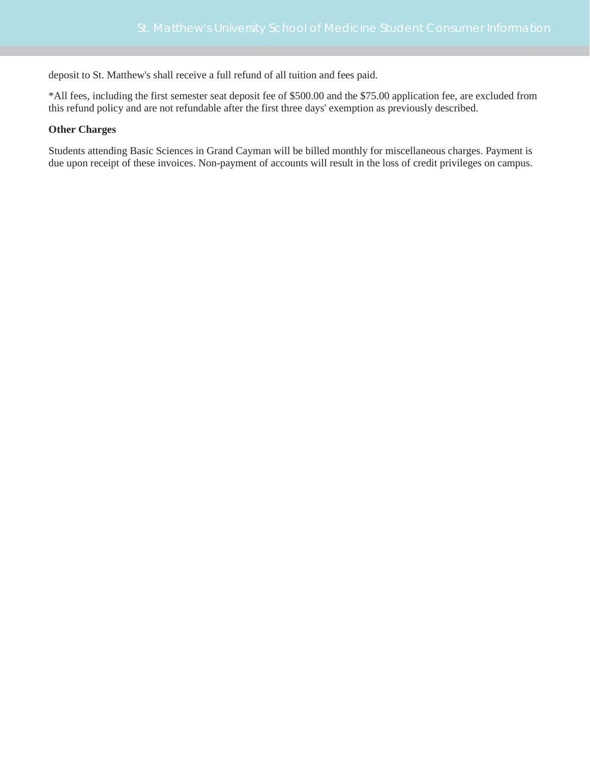deposit to St. Matthew's shall receive a full refund of all tuition and fees paid.

\*All fees, including the first semester seat deposit fee of \$500.00 and the \$75.00 application fee, are excluded from this refund policy and are not refundable after the first three days' exemption as previously described.

#### **Other Charges**

Students attending Basic Sciences in Grand Cayman will be billed monthly for miscellaneous charges. Payment is due upon receipt of these invoices. Non-payment of accounts will result in the loss of credit privileges on campus.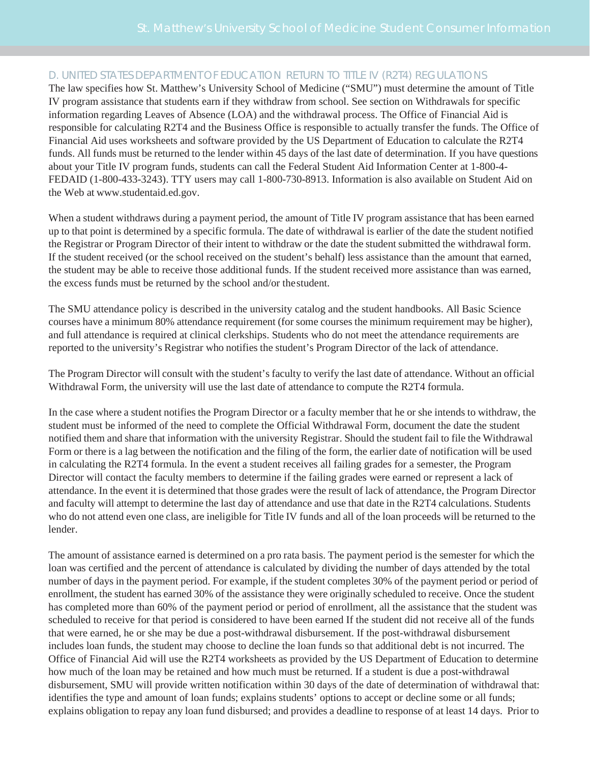## D. UNITED STATES DEPARTMENT OF EDUCATION RETURN TO TITLE IV (R2T4) REGULATIONS

The law specifies how St. Matthew's University School of Medicine ("SMU") must determine the amount of Title IV program assistance that students earn if they withdraw from school. See section on Withdrawals for specific information regarding Leaves of Absence (LOA) and the withdrawal process. The Office of Financial Aid is responsible for calculating R2T4 and the Business Office is responsible to actually transfer the funds. The Office of Financial Aid uses worksheets and software provided by the US Department of Education to calculate the R2T4 funds. All funds must be returned to the lender within 45 days of the last date of determination. If you have questions about your Title IV program funds, students can call the Federal Student Aid Information Center at 1-800-4- FEDAID (1-800-433-3243). TTY users may call 1-800-730-8913. Information is also available on Student Aid on the Web at [www.studentaid.ed.gov.](http://www.studentaid.ed.gov/)

When a student withdraws during a payment period, the amount of Title IV program assistance that has been earned up to that point is determined by a specific formula. The date of withdrawal is earlier of the date the student notified the Registrar or Program Director of their intent to withdraw or the date the student submitted the withdrawal form. If the student received (or the school received on the student's behalf) less assistance than the amount that earned, the student may be able to receive those additional funds. If the student received more assistance than was earned, the excess funds must be returned by the school and/or thestudent.

The SMU attendance policy is described in the university catalog and the student handbooks. All Basic Science courses have a minimum 80% attendance requirement (for some courses the minimum requirement may be higher), and full attendance is required at clinical clerkships. Students who do not meet the attendance requirements are reported to the university's Registrar who notifies the student's Program Director of the lack of attendance.

The Program Director will consult with the student's faculty to verify the last date of attendance. Without an official Withdrawal Form, the university will use the last date of attendance to compute the R2T4 formula.

In the case where a student notifies the Program Director or a faculty member that he or she intends to withdraw, the student must be informed of the need to complete the Official Withdrawal Form, document the date the student notified them and share that information with the university Registrar. Should the student fail to file the Withdrawal Form or there is a lag between the notification and the filing of the form, the earlier date of notification will be used in calculating the R2T4 formula. In the event a student receives all failing grades for a semester, the Program Director will contact the faculty members to determine if the failing grades were earned or represent a lack of attendance. In the event it is determined that those grades were the result of lack of attendance, the Program Director and faculty will attempt to determine the last day of attendance and use that date in the R2T4 calculations. Students who do not attend even one class, are ineligible for Title IV funds and all of the loan proceeds will be returned to the lender.

The amount of assistance earned is determined on a pro rata basis. The payment period is the semester for which the loan was certified and the percent of attendance is calculated by dividing the number of days attended by the total number of days in the payment period. For example, if the student completes 30% of the payment period or period of enrollment, the student has earned 30% of the assistance they were originally scheduled to receive. Once the student has completed more than 60% of the payment period or period of enrollment, all the assistance that the student was scheduled to receive for that period is considered to have been earned If the student did not receive all of the funds that were earned, he or she may be due a post-withdrawal disbursement. If the post-withdrawal disbursement includes loan funds, the student may choose to decline the loan funds so that additional debt is not incurred. The Office of Financial Aid will use the R2T4 worksheets as provided by the US Department of Education to determine how much of the loan may be retained and how much must be returned. If a student is due a post-withdrawal disbursement, SMU will provide written notification within 30 days of the date of determination of withdrawal that: identifies the type and amount of loan funds; explains students' options to accept or decline some or all funds; explains obligation to repay any loan fund disbursed; and provides a deadline to response of at least 14 days. Prior to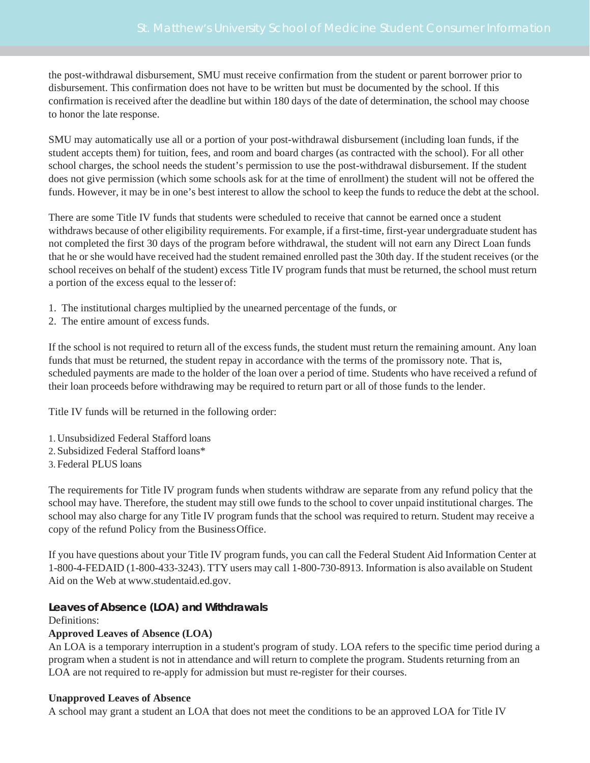the post-withdrawal disbursement, SMU must receive confirmation from the student or parent borrower prior to disbursement. This confirmation does not have to be written but must be documented by the school. If this confirmation is received after the deadline but within 180 days of the date of determination, the school may choose to honor the late response.

SMU may automatically use all or a portion of your post-withdrawal disbursement (including loan funds, if the student accepts them) for tuition, fees, and room and board charges (as contracted with the school). For all other school charges, the school needs the student's permission to use the post-withdrawal disbursement. If the student does not give permission (which some schools ask for at the time of enrollment) the student will not be offered the funds. However, it may be in one's best interest to allow the school to keep the funds to reduce the debt at the school.

There are some Title IV funds that students were scheduled to receive that cannot be earned once a student withdraws because of other eligibility requirements. For example, if a first-time, first-year undergraduate student has not completed the first 30 days of the program before withdrawal, the student will not earn any Direct Loan funds that he or she would have received had the student remained enrolled past the 30th day. If the student receives (or the school receives on behalf of the student) excess Title IV program funds that must be returned, the school must return a portion of the excess equal to the lesser of:

- 1. The institutional charges multiplied by the unearned percentage of the funds, or
- 2. The entire amount of excess funds.

If the school is not required to return all of the excess funds, the student must return the remaining amount. Any loan funds that must be returned, the student repay in accordance with the terms of the promissory note. That is, scheduled payments are made to the holder of the loan over a period of time. Students who have received a refund of their loan proceeds before withdrawing may be required to return part or all of those funds to the lender.

Title IV funds will be returned in the following order:

- 1.Unsubsidized Federal Stafford loans
- 2.Subsidized Federal Stafford loans\*
- 3.Federal PLUS loans

The requirements for Title IV program funds when students withdraw are separate from any refund policy that the school may have. Therefore, the student may still owe funds to the school to cover unpaid institutional charges. The school may also charge for any Title IV program funds that the school was required to return. Student may receive a copy of the refund Policy from the BusinessOffice.

If you have questions about your Title IV program funds, you can call the Federal Student Aid Information Center at 1-800-4-FEDAID (1-800-433-3243). TTY users may call 1-800-730-8913. Information is also available on Student Aid on the Web at [www.studentaid.ed.gov.](http://www.studentaid.ed.gov/)

## **Leaves of Absence (LOA) and Withdrawals**

#### Definitions:

## **Approved Leaves of Absence (LOA)**

An LOA is a temporary interruption in a student's program of study. LOA refers to the specific time period during a program when a student is not in attendance and will return to complete the program. Students returning from an LOA are not required to re-apply for admission but must re-register for their courses.

## **Unapproved Leaves of Absence**

A school may grant a student an LOA that does not meet the conditions to be an approved LOA for Title IV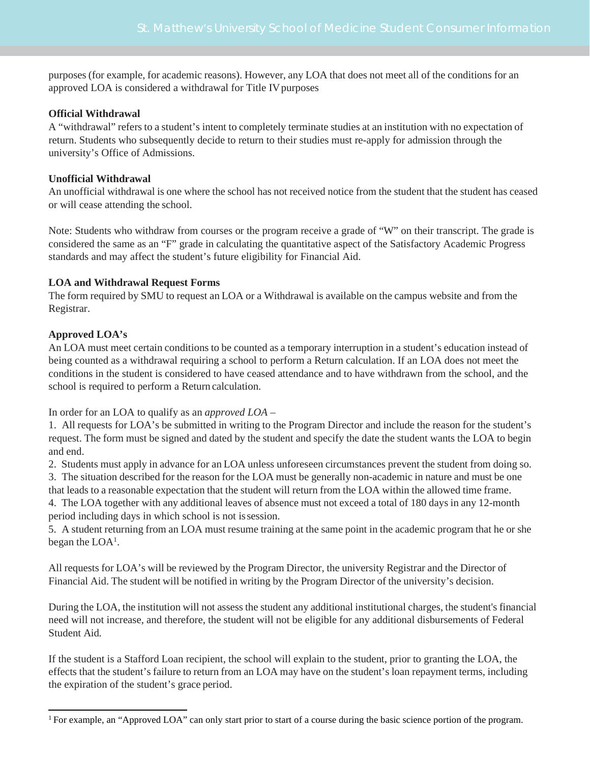purposes (for example, for academic reasons). However, any LOA that does not meet all of the conditions for an approved LOA is considered a withdrawal for Title IV purposes

## **Official Withdrawal**

A "withdrawal" refers to a student's intent to completely terminate studies at an institution with no expectation of return. Students who subsequently decide to return to their studies must re-apply for admission through the university's Office of Admissions.

## **Unofficial Withdrawal**

An unofficial withdrawal is one where the school has not received notice from the student that the student has ceased or will cease attending the school.

Note: Students who withdraw from courses or the program receive a grade of "W" on their transcript. The grade is considered the same as an "F" grade in calculating the quantitative aspect of the Satisfactory Academic Progress standards and may affect the student's future eligibility for Financial Aid.

## **LOA and Withdrawal Request Forms**

The form required by SMU to request an LOA or a Withdrawal is available on the campus website and from the Registrar.

## **Approved LOA's**

An LOA must meet certain conditions to be counted as a temporary interruption in a student's education instead of being counted as a withdrawal requiring a school to perform a Return calculation. If an LOA does not meet the conditions in the student is considered to have ceased attendance and to have withdrawn from the school, and the school is required to perform a Return calculation.

In order for an LOA to qualify as an *approved LOA* –

1. All requests for LOA's be submitted in writing to the Program Director and include the reason for the student's request. The form must be signed and dated by the student and specify the date the student wants the LOA to begin and end.

2. Students must apply in advance for an LOA unless unforeseen circumstances prevent the student from doing so.

3. The situation described for the reason for the LOA must be generally non-academic in nature and must be one that leads to a reasonable expectation that the student will return from the LOA within the allowed time frame.

4. The LOA together with any additional leaves of absence must not exceed a total of 180 days in any 12-month period including days in which school is not issession.

5. A student returning from an LOA must resume training at the same point in the academic program that he or she began the  $LOA<sup>1</sup>$ .

All requests for LOA's will be reviewed by the Program Director, the university Registrar and the Director of Financial Aid. The student will be notified in writing by the Program Director of the university's decision.

During the LOA, the institution will not assessthe student any additional institutional charges, the student's financial need will not increase, and therefore, the student will not be eligible for any additional disbursements of Federal Student Aid.

If the student is a Stafford Loan recipient, the school will explain to the student, prior to granting the LOA, the effects that the student's failure to return from an LOA may have on the student's loan repayment terms, including the expiration of the student's grace period.

<span id="page-4-0"></span><sup>&</sup>lt;sup>1</sup> For example, an "Approved LOA" can only start prior to start of a course during the basic science portion of the program.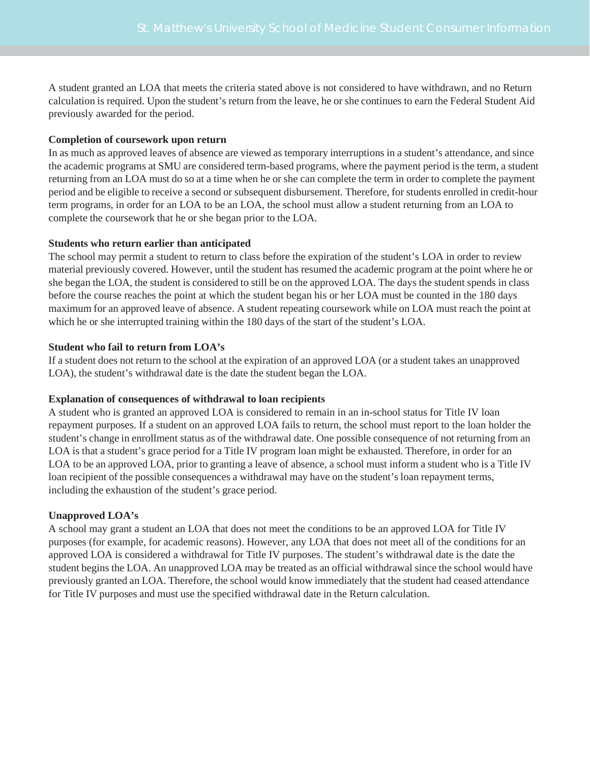A student granted an LOA that meets the criteria stated above is not considered to have withdrawn, and no Return calculation is required. Upon the student's return from the leave, he or she continues to earn the Federal Student Aid previously awarded for the period.

## **Completion of coursework upon return**

In as much as approved leaves of absence are viewed as temporary interruptions in a student's attendance, and since the academic programs at SMU are considered term-based programs, where the payment period is the term, a student returning from an LOA must do so at a time when he or she can complete the term in order to complete the payment period and be eligible to receive a second or subsequent disbursement. Therefore, for students enrolled in credit-hour term programs, in order for an LOA to be an LOA, the school must allow a student returning from an LOA to complete the coursework that he or she began prior to the LOA.

## **Students who return earlier than anticipated**

The school may permit a student to return to class before the expiration of the student's LOA in order to review material previously covered. However, until the student has resumed the academic program at the point where he or she began the LOA, the student is considered to still be on the approved LOA. The days the student spends in class before the course reaches the point at which the student began his or her LOA must be counted in the 180 days maximum for an approved leave of absence. A student repeating coursework while on LOA must reach the point at which he or she interrupted training within the 180 days of the start of the student's LOA.

## **Student who fail to return from LOA's**

If a student does not return to the school at the expiration of an approved LOA (or a student takes an unapproved LOA), the student's withdrawal date is the date the student began the LOA.

#### **Explanation of consequences of withdrawal to loan recipients**

A student who is granted an approved LOA is considered to remain in an in-school status for Title IV loan repayment purposes. If a student on an approved LOA fails to return, the school must report to the loan holder the student's change in enrollment status as of the withdrawal date. One possible consequence of not returning from an LOA is that a student's grace period for a Title IV program loan might be exhausted. Therefore, in order for an LOA to be an approved LOA, prior to granting a leave of absence, a school must inform a student who is a Title IV loan recipient of the possible consequences a withdrawal may have on the student's loan repayment terms, including the exhaustion of the student's grace period.

## **Unapproved LOA's**

A school may grant a student an LOA that does not meet the conditions to be an approved LOA for Title IV purposes (for example, for academic reasons). However, any LOA that does not meet all of the conditions for an approved LOA is considered a withdrawal for Title IV purposes. The student's withdrawal date is the date the student begins the LOA. An unapproved LOA may be treated as an official withdrawal since the school would have previously granted an LOA. Therefore, the school would know immediately that the student had ceased attendance for Title IV purposes and must use the specified withdrawal date in the Return calculation.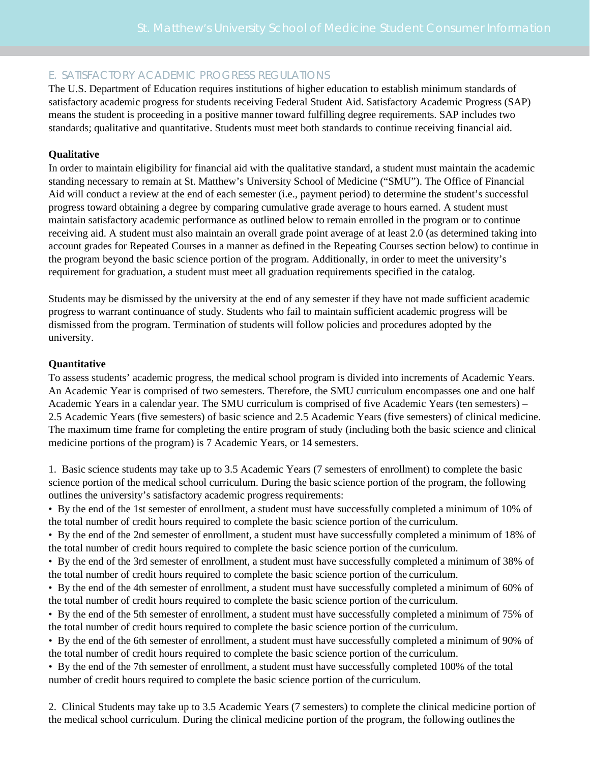## E. SATISFACTORY ACADEMIC PROGRESS REGULATIONS

The U.S. Department of Education requires institutions of higher education to establish minimum standards of satisfactory academic progress for students receiving Federal Student Aid. Satisfactory Academic Progress (SAP) means the student is proceeding in a positive manner toward fulfilling degree requirements. SAP includes two standards; qualitative and quantitative. Students must meet both standards to continue receiving financial aid.

## **Qualitative**

In order to maintain eligibility for financial aid with the qualitative standard, a student must maintain the academic standing necessary to remain at St. Matthew's University School of Medicine ("SMU"). The Office of Financial Aid will conduct a review at the end of each semester (i.e., payment period) to determine the student's successful progress toward obtaining a degree by comparing cumulative grade average to hours earned. A student must maintain satisfactory academic performance as outlined below to remain enrolled in the program or to continue receiving aid. A student must also maintain an overall grade point average of at least 2.0 (as determined taking into account grades for Repeated Courses in a manner as defined in the Repeating Courses section below) to continue in the program beyond the basic science portion of the program. Additionally, in order to meet the university's requirement for graduation, a student must meet all graduation requirements specified in the catalog.

Students may be dismissed by the university at the end of any semester if they have not made sufficient academic progress to warrant continuance of study. Students who fail to maintain sufficient academic progress will be dismissed from the program. Termination of students will follow policies and procedures adopted by the university.

## **Quantitative**

To assess students' academic progress, the medical school program is divided into increments of Academic Years. An Academic Year is comprised of two semesters. Therefore, the SMU curriculum encompasses one and one half Academic Years in a calendar year. The SMU curriculum is comprised of five Academic Years (ten semesters) – 2.5 Academic Years (five semesters) of basic science and 2.5 Academic Years (five semesters) of clinical medicine. The maximum time frame for completing the entire program of study (including both the basic science and clinical medicine portions of the program) is 7 Academic Years, or 14 semesters.

1. Basic science students may take up to 3.5 Academic Years (7 semesters of enrollment) to complete the basic science portion of the medical school curriculum. During the basic science portion of the program, the following outlines the university's satisfactory academic progress requirements:

• By the end of the 1st semester of enrollment, a student must have successfully completed a minimum of 10% of the total number of credit hours required to complete the basic science portion of the curriculum.

• By the end of the 2nd semester of enrollment, a student must have successfully completed a minimum of 18% of the total number of credit hours required to complete the basic science portion of the curriculum.

• By the end of the 3rd semester of enrollment, a student must have successfully completed a minimum of 38% of the total number of credit hours required to complete the basic science portion of the curriculum.

• By the end of the 4th semester of enrollment, a student must have successfully completed a minimum of 60% of the total number of credit hours required to complete the basic science portion of the curriculum.

• By the end of the 5th semester of enrollment, a student must have successfully completed a minimum of 75% of the total number of credit hours required to complete the basic science portion of the curriculum.

• By the end of the 6th semester of enrollment, a student must have successfully completed a minimum of 90% of the total number of credit hours required to complete the basic science portion of the curriculum.

• By the end of the 7th semester of enrollment, a student must have successfully completed 100% of the total number of credit hours required to complete the basic science portion of the curriculum.

2. Clinical Students may take up to 3.5 Academic Years (7 semesters) to complete the clinical medicine portion of the medical school curriculum. During the clinical medicine portion of the program, the following outlinesthe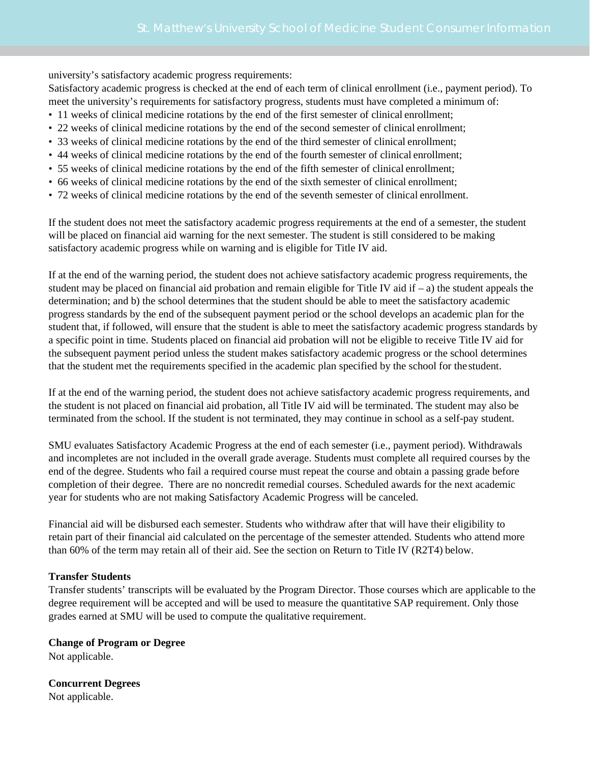university's satisfactory academic progress requirements:

Satisfactory academic progress is checked at the end of each term of clinical enrollment (i.e., payment period). To meet the university's requirements for satisfactory progress, students must have completed a minimum of:

- 11 weeks of clinical medicine rotations by the end of the first semester of clinical enrollment;
- 22 weeks of clinical medicine rotations by the end of the second semester of clinical enrollment;
- 33 weeks of clinical medicine rotations by the end of the third semester of clinical enrollment;
- 44 weeks of clinical medicine rotations by the end of the fourth semester of clinical enrollment;
- 55 weeks of clinical medicine rotations by the end of the fifth semester of clinical enrollment;
- 66 weeks of clinical medicine rotations by the end of the sixth semester of clinical enrollment;
- 72 weeks of clinical medicine rotations by the end of the seventh semester of clinical enrollment.

If the student does not meet the satisfactory academic progress requirements at the end of a semester, the student will be placed on financial aid warning for the next semester. The student is still considered to be making satisfactory academic progress while on warning and is eligible for Title IV aid.

If at the end of the warning period, the student does not achieve satisfactory academic progress requirements, the student may be placed on financial aid probation and remain eligible for Title IV aid if  $-$ a) the student appeals the determination; and b) the school determines that the student should be able to meet the satisfactory academic progress standards by the end of the subsequent payment period or the school develops an academic plan for the student that, if followed, will ensure that the student is able to meet the satisfactory academic progress standards by a specific point in time. Students placed on financial aid probation will not be eligible to receive Title IV aid for the subsequent payment period unless the student makes satisfactory academic progress or the school determines that the student met the requirements specified in the academic plan specified by the school for the student.

If at the end of the warning period, the student does not achieve satisfactory academic progress requirements, and the student is not placed on financial aid probation, all Title IV aid will be terminated. The student may also be terminated from the school. If the student is not terminated, they may continue in school as a self-pay student.

SMU evaluates Satisfactory Academic Progress at the end of each semester (i.e., payment period). Withdrawals and incompletes are not included in the overall grade average. Students must complete all required courses by the end of the degree. Students who fail a required course must repeat the course and obtain a passing grade before completion of their degree. There are no noncredit remedial courses. Scheduled awards for the next academic year for students who are not making Satisfactory Academic Progress will be canceled.

Financial aid will be disbursed each semester. Students who withdraw after that will have their eligibility to retain part of their financial aid calculated on the percentage of the semester attended. Students who attend more than 60% of the term may retain all of their aid. See the section on Return to Title IV (R2T4) below.

#### **Transfer Students**

Transfer students' transcripts will be evaluated by the Program Director. Those courses which are applicable to the degree requirement will be accepted and will be used to measure the quantitative SAP requirement. Only those grades earned at SMU will be used to compute the qualitative requirement.

**Change of Program or Degree** Not applicable.

**Concurrent Degrees** Not applicable.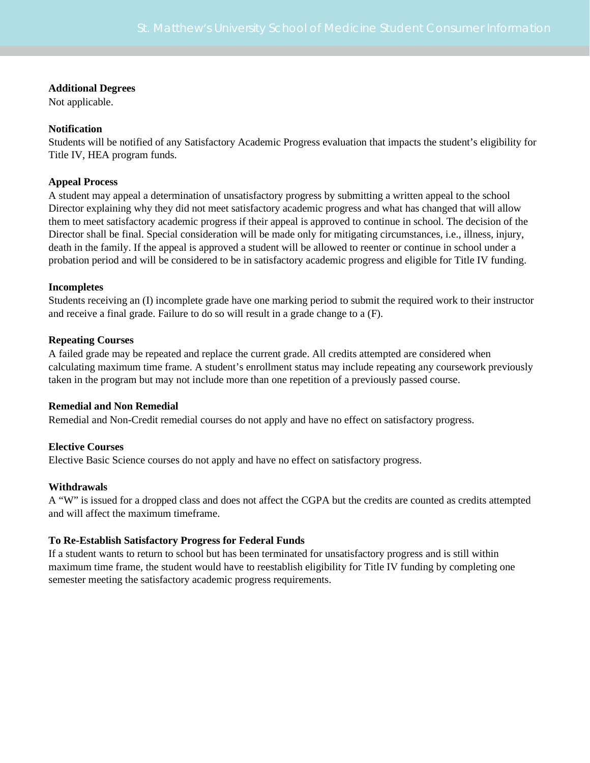#### **Additional Degrees**

Not applicable.

## **Notification**

Students will be notified of any Satisfactory Academic Progress evaluation that impacts the student's eligibility for Title IV, HEA program funds.

## **Appeal Process**

A student may appeal a determination of unsatisfactory progress by submitting a written appeal to the school Director explaining why they did not meet satisfactory academic progress and what has changed that will allow them to meet satisfactory academic progress if their appeal is approved to continue in school. The decision of the Director shall be final. Special consideration will be made only for mitigating circumstances, i.e., illness, injury, death in the family. If the appeal is approved a student will be allowed to reenter or continue in school under a probation period and will be considered to be in satisfactory academic progress and eligible for Title IV funding.

## **Incompletes**

Students receiving an (I) incomplete grade have one marking period to submit the required work to their instructor and receive a final grade. Failure to do so will result in a grade change to a (F).

## **Repeating Courses**

A failed grade may be repeated and replace the current grade. All credits attempted are considered when calculating maximum time frame. A student's enrollment status may include repeating any coursework previously taken in the program but may not include more than one repetition of a previously passed course.

#### **Remedial and Non Remedial**

Remedial and Non-Credit remedial courses do not apply and have no effect on satisfactory progress.

## **Elective Courses**

Elective Basic Science courses do not apply and have no effect on satisfactory progress.

## **Withdrawals**

A "W" is issued for a dropped class and does not affect the CGPA but the credits are counted as credits attempted and will affect the maximum timeframe.

## **To Re-Establish Satisfactory Progress for Federal Funds**

If a student wants to return to school but has been terminated for unsatisfactory progress and is still within maximum time frame, the student would have to reestablish eligibility for Title IV funding by completing one semester meeting the satisfactory academic progress requirements.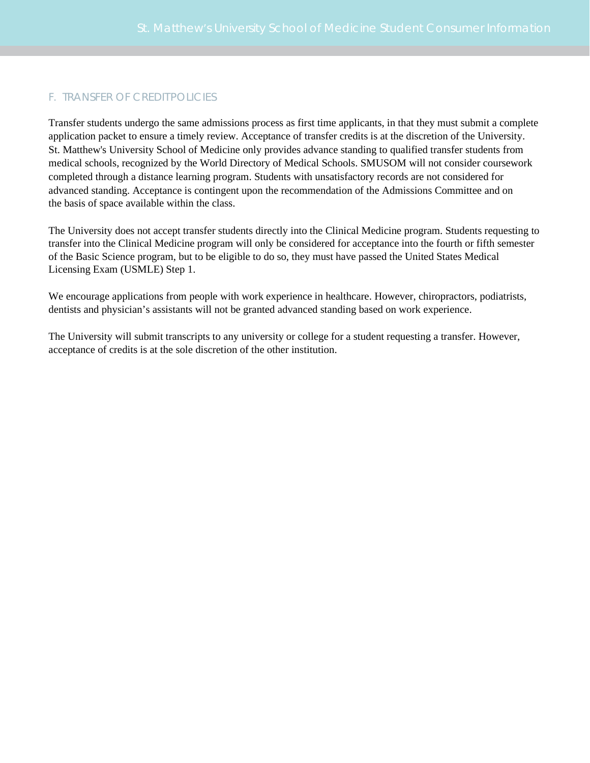## F. TRANSFER OF CREDITPOLICIES

Transfer students undergo the same admissions process as first time applicants, in that they must submit a complete application packet to ensure a timely review. Acceptance of transfer credits is at the discretion of the University. St. Matthew's University School of Medicine only provides advance standing to qualified transfer students from medical schools, recognized by the World Directory of Medical Schools. SMUSOM will not consider coursework completed through a distance learning program. Students with unsatisfactory records are not considered for advanced standing. Acceptance is contingent upon the recommendation of the Admissions Committee and on the basis of space available within the class.

The University does not accept transfer students directly into the Clinical Medicine program. Students requesting to transfer into the Clinical Medicine program will only be considered for acceptance into the fourth or fifth semester of the Basic Science program, but to be eligible to do so, they must have passed the United States Medical Licensing Exam (USMLE) Step 1.

We encourage applications from people with work experience in healthcare. However, chiropractors, podiatrists, dentists and physician's assistants will not be granted advanced standing based on work experience.

The University will submit transcripts to any university or college for a student requesting a transfer. However, acceptance of credits is at the sole discretion of the other institution.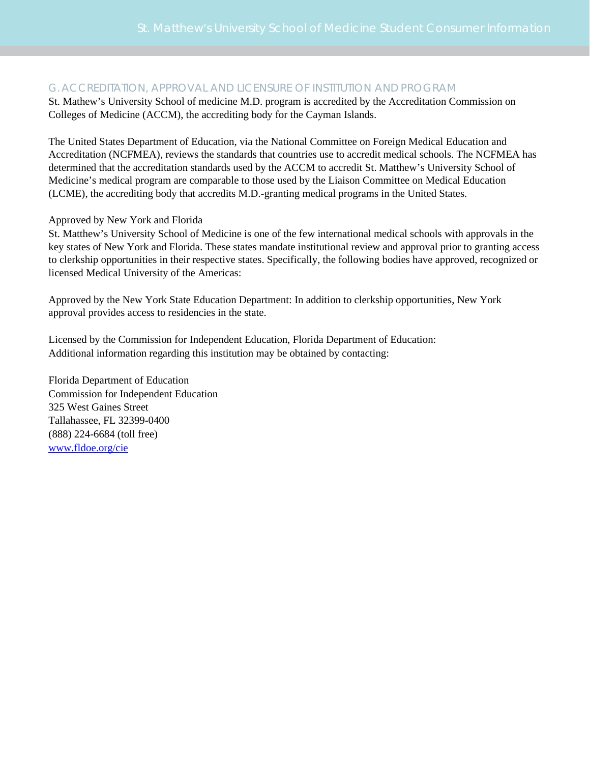## G. ACCREDITATION, APPROVAL AND LICENSURE OF INSTITUTION AND PROGRAM

St. Mathew's University School of medicine M.D. program is accredited by the Accreditation Commission on Colleges of Medicine (ACCM), the accrediting body for the Cayman Islands.

The United States Department of Education, via the National Committee on Foreign Medical Education and Accreditation (NCFMEA), reviews the standards that countries use to accredit medical schools. The NCFMEA has determined that the accreditation standards used by the ACCM to accredit St. Matthew's University School of Medicine's medical program are comparable to those used by the Liaison Committee on Medical Education (LCME), the accrediting body that accredits M.D.-granting medical programs in the United States.

## Approved by New York and Florida

St. Matthew's University School of Medicine is one of the few international medical schools with approvals in the key states of New York and Florida. These states mandate institutional review and approval prior to granting access to clerkship opportunities in their respective states. Specifically, the following bodies have approved, recognized or licensed Medical University of the Americas:

Approved by the New York State Education Department: In addition to clerkship opportunities, New York approval provides access to residencies in the state.

Licensed by the Commission for Independent Education, Florida Department of Education: Additional information regarding this institution may be obtained by contacting:

Florida Department of Education Commission for Independent Education 325 West Gaines Street Tallahassee, FL 32399-0400 (888) 224-6684 (toll free) [www.fldoe.org/cie](http://www.fldoe.org/cie)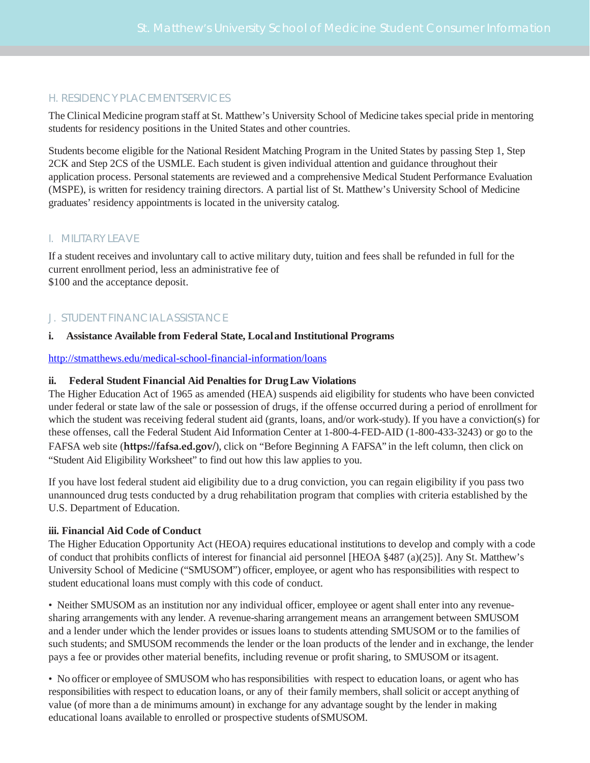## H. RESIDENCY PLACEMENT SERVICES

The Clinical Medicine program staff at St. Matthew's University School of Medicine takes special pride in mentoring students for residency positions in the United States and other countries.

Students become eligible for the National Resident Matching Program in the United States by passing Step 1, Step 2CK and Step 2CS of the USMLE. Each student is given individual attention and guidance throughout their application process. Personal statements are reviewed and a comprehensive Medical Student Performance Evaluation (MSPE), is written for residency training directors. A partial list of St. Matthew's University School of Medicine graduates' residency appointments is located in the university catalog.

## I. MILITARY LEAVE

If a student receives and involuntary call to active military duty, tuition and fees shall be refunded in full for the current enrollment period, less an administrative fee of \$100 and the acceptance deposit.

## J. STUDENT FINANCIAL ASSISTANCE

## **i. Assistance Available from Federal State, Localand Institutional Programs**

## <http://stmatthews.edu/medical-school-financial-information/loans>

## **ii. Federal Student Financial Aid Penalties for DrugLaw Violations**

The Higher Education Act of 1965 as amended (HEA) suspends aid eligibility for students who have been convicted under federal or state law of the sale or possession of drugs, if the offense occurred during a period of enrollment for which the student was receiving federal student aid (grants, loans, and/or work-study). If you have a conviction(s) for these offenses, call the Federal Student Aid Information Center at 1-800-4-FED-AID (1-800-433-3243) or go to the FAFSA web site (**<https://fafsa.ed.gov/>**), click on "Before Beginning A FAFSA" in the left column, then click on "Student Aid Eligibility Worksheet" to find out how this law applies to you.

If you have lost federal student aid eligibility due to a drug conviction, you can regain eligibility if you pass two unannounced drug tests conducted by a drug rehabilitation program that complies with criteria established by the U.S. Department of Education.

## **iii. Financial Aid Code of Conduct**

The Higher Education Opportunity Act (HEOA) requires educational institutions to develop and comply with a code of conduct that prohibits conflicts of interest for financial aid personnel [HEOA §487 (a)(25)]. Any St. Matthew's University School of Medicine ("SMUSOM") officer, employee, or agent who has responsibilities with respect to student educational loans must comply with this code of conduct.

• Neither SMUSOM as an institution nor any individual officer, employee or agent shall enter into any revenuesharing arrangements with any lender. A revenue-sharing arrangement means an arrangement between SMUSOM and a lender under which the lender provides or issues loans to students attending SMUSOM or to the families of such students; and SMUSOM recommends the lender or the loan products of the lender and in exchange, the lender pays a fee or provides other material benefits, including revenue or profit sharing, to SMUSOM or itsagent.

• No officer or employee of SMUSOM who has responsibilities with respect to education loans, or agent who has responsibilities with respect to education loans, or any of their family members, shall solicit or accept anything of value (of more than a de minimums amount) in exchange for any advantage sought by the lender in making educational loans available to enrolled or prospective students ofSMUSOM.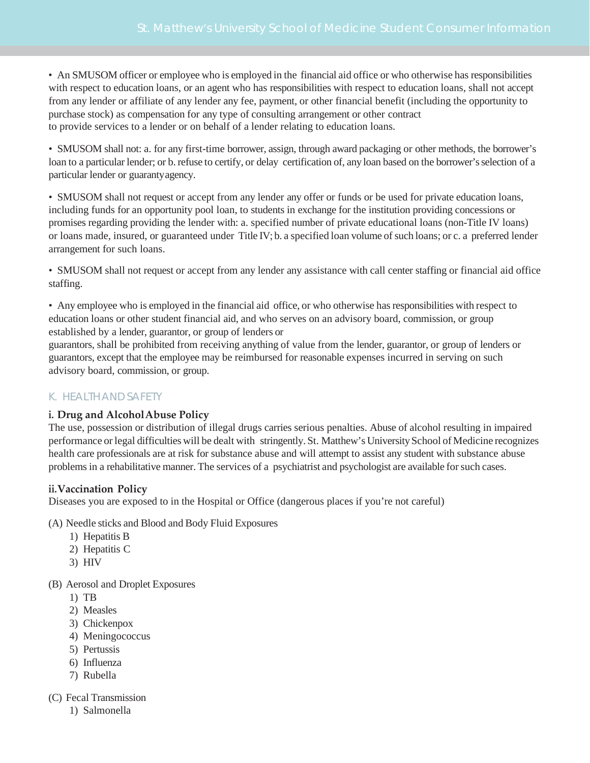• An SMUSOM officer or employee who is employed in the financial aid office or who otherwise has responsibilities with respect to education loans, or an agent who has responsibilities with respect to education loans, shall not accept from any lender or affiliate of any lender any fee, payment, or other financial benefit (including the opportunity to purchase stock) as compensation for any type of consulting arrangement or other contract to provide services to a lender or on behalf of a lender relating to education loans.

• SMUSOM shall not: a. for any first-time borrower, assign, through award packaging or other methods, the borrower's loan to a particular lender; or b. refuse to certify, or delay certification of, any loan based on the borrower's selection of a particular lender or guarantyagency.

• SMUSOM shall not request or accept from any lender any offer or funds or be used for private education loans, including funds for an opportunity pool loan, to students in exchange for the institution providing concessions or promises regarding providing the lender with: a. specified number of private educational loans (non-Title IV loans) or loans made, insured, or guaranteed under Title IV; b. a specified loan volume ofsuch loans; or c. a preferred lender arrangement for such loans.

• SMUSOM shall not request or accept from any lender any assistance with call center staffing or financial aid office staffing.

• Any employee who is employed in the financial aid office, or who otherwise hasresponsibilities with respect to education loans or other student financial aid, and who serves on an advisory board, commission, or group established by a lender, guarantor, or group of lenders or

guarantors, shall be prohibited from receiving anything of value from the lender, guarantor, or group of lenders or guarantors, except that the employee may be reimbursed for reasonable expenses incurred in serving on such advisory board, commission, or group.

## K. HEALTH ANDSAFETY

## **i. Drug and AlcoholAbuse Policy**

The use, possession or distribution of illegal drugs carries serious penalties. Abuse of alcohol resulting in impaired performance or legal difficulties will be dealt with stringently. St. Matthew's University School of Medicine recognizes health care professionals are at risk for substance abuse and will attempt to assist any student with substance abuse problemsin a rehabilitative manner. The services of a psychiatrist and psychologist are available forsuch cases.

## **ii.Vaccination Policy**

Diseases you are exposed to in the Hospital or Office (dangerous places if you're not careful)

- (A) Needle sticks and Blood and Body Fluid Exposures
	- 1) Hepatitis B
	- 2) Hepatitis C
	- 3) HIV

## (B) Aerosol and Droplet Exposures

- 1) TB
- 2) Measles
- 3) Chickenpox
- 4) Meningococcus
- 5) Pertussis
- 6) Influenza
- 7) Rubella

## (C) Fecal Transmission

1) Salmonella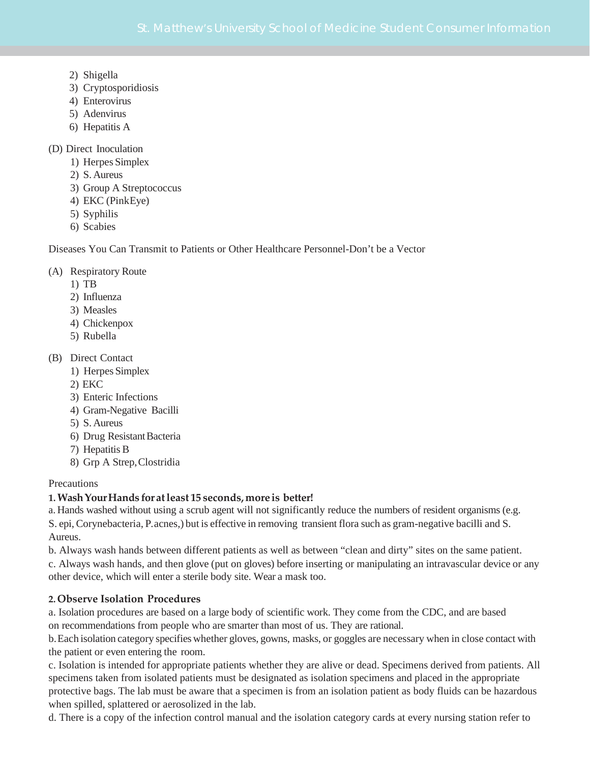- 2) Shigella
- 3) Cryptosporidiosis
- 4) Enterovirus
- 5) Adenvirus
- 6) Hepatitis A

(D) Direct Inoculation

- 1) Herpes Simplex
- 2) S.Aureus
- 3) Group A Streptococcus
- 4) EKC (PinkEye)
- 5) Syphilis
- 6) Scabies

Diseases You Can Transmit to Patients or Other Healthcare Personnel-Don't be a Vector

## (A) Respiratory Route

- 1) TB
- 2) Influenza
- 3) Measles
- 4) Chickenpox
- 5) Rubella
- (B) Direct Contact
	- 1) Herpes Simplex
	- 2) EKC
	- 3) Enteric Infections
	- 4) Gram-Negative Bacilli
	- 5) S.Aureus
	- 6) Drug Resistant Bacteria
	- 7) Hepatitis B
	- 8) Grp A Strep,Clostridia

#### **Precautions**

## **1.WashYourHands foratleast 15 seconds, more is better!**

a. Hands washed without using a scrub agent will not significantly reduce the numbers of resident organisms (e.g. S. epi,Corynebacteria, P.acnes,) but is effective in removing transient flora such as gram-negative bacilli and S. Aureus.

b. Always wash hands between different patients as well as between "clean and dirty" sites on the same patient.

c. Always wash hands, and then glove (put on gloves) before inserting or manipulating an intravascular device or any other device, which will enter a sterile body site. Wear a mask too.

## **2.Observe Isolation Procedures**

a. Isolation procedures are based on a large body of scientific work. They come from the CDC, and are based on recommendations from people who are smarter than most of us. They are rational.

b.Each isolation category specifies whether gloves, gowns, masks, or goggles are necessary when in close contact with the patient or even entering the room.

c. Isolation is intended for appropriate patients whether they are alive or dead. Specimens derived from patients. All specimens taken from isolated patients must be designated as isolation specimens and placed in the appropriate protective bags. The lab must be aware that a specimen is from an isolation patient as body fluids can be hazardous when spilled, splattered or aerosolized in the lab.

d. There is a copy of the infection control manual and the isolation category cards at every nursing station refer to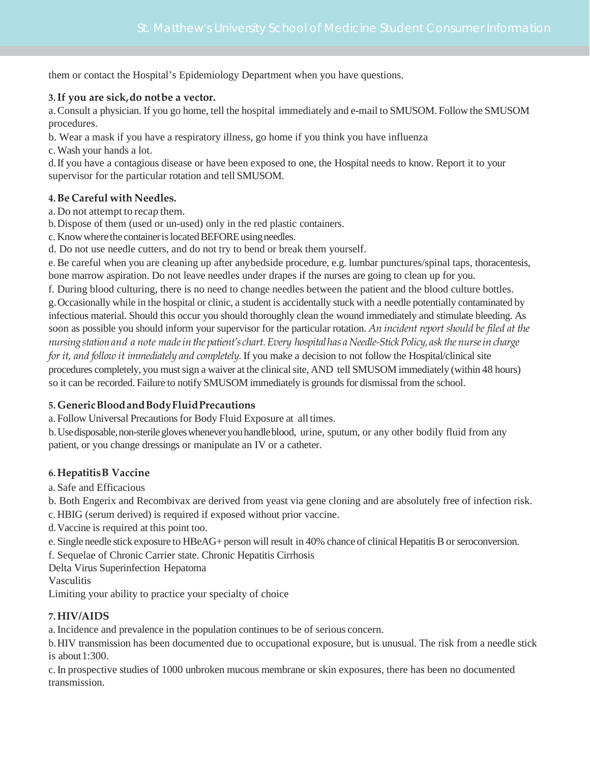them or contact the Hospital's Epidemiology Department when you have questions.

## **3.If you are sick,do notbe a vector.**

a.Consult a physician. If you go home, tell the hospital immediately and e-mail to SMUSOM. Follow the SMUSOM procedures.

b. Wear a mask if you have a respiratory illness, go home if you think you have influenza

c.Wash your hands a lot.

d.If you have a contagious disease or have been exposed to one, the Hospital needs to know. Report it to your supervisor for the particular rotation and tell SMUSOM.

## **4.Be Careful with Needles.**

a. Do not attempt to recap them.

b.Dispose of them (used or un-used) only in the red plastic containers.

c. Know where the container is located BEFORE using needles.

d. Do not use needle cutters, and do not try to bend or break them yourself.

e.Be careful when you are cleaning up after anybedside procedure, e.g. lumbar punctures/spinal taps, thoracentesis, bone marrow aspiration. Do not leave needles under drapes if the nurses are going to clean up for you.

f. During blood culturing, there is no need to change needles between the patient and the blood culture bottles.

g.Occasionally while in the hospital or clinic, a student is accidentally stuck with a needle potentially contaminated by infectious material. Should this occur you should thoroughly clean the wound immediately and stimulate bleeding. As soon as possible you should inform your supervisor for the particular rotation. *An incident report should be filed at the nursingstationand a note madeinthe patient'schart.Every hospitalhas a Needle-StickPolicy,ask the nurseincharge for it, and follow it immediately and completely.* If you make a decision to not follow the Hospital/clinical site procedures completely, you mustsign a waiver at the clinicalsite, AND tell SMUSOM immediately (within 48 hours) so it can be recorded. Failure to notify SMUSOM immediately is grounds for dismissal from the school.

## **5.GenericBloodandBodyFluidPrecautions**

a. Follow Universal Precautions for Body Fluid Exposure at all times.

b.Usedisposable,non-sterilegloveswheneveryouhandleblood, urine, sputum, or any other bodily fluid from any patient, or you change dressings or manipulate an IV or a catheter.

## **6.HepatitisB Vaccine**

a. Safe and Efficacious

b. Both Engerix and Recombivax are derived from yeast via gene cloning and are absolutely free of infection risk.

c. HBIG (serum derived) is required if exposed without prior vaccine.

d.Vaccine is required at this point too.

e. Single needle stick exposure to HBeAG+ person will result in 40% chance of clinical Hepatitis B or seroconversion.

f. Sequelae of Chronic Carrier state. Chronic Hepatitis Cirrhosis

Delta Virus Superinfection Hepatoma

Vasculitis

Limiting your ability to practice your specialty of choice

## **7.HIV/AIDS**

a.Incidence and prevalence in the population continues to be of serious concern.

b.HIV transmission has been documented due to occupational exposure, but is unusual. The risk from a needle stick is about  $1:300$ .

c.In prospective studies of 1000 unbroken mucous membrane or skin exposures, there has been no documented transmission.